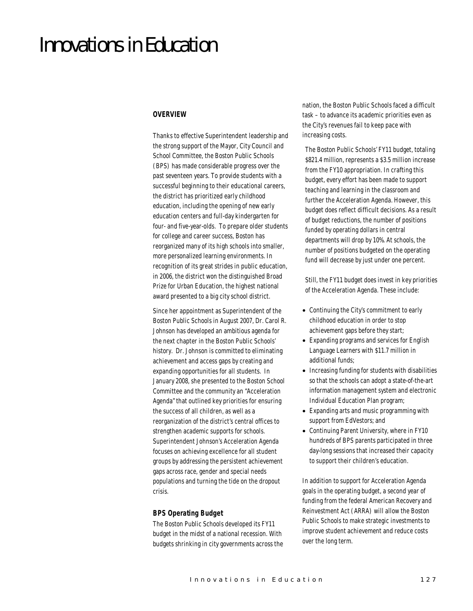# Innovations in Education

## *OVERVIEW*

Thanks to effective Superintendent leadership and the strong support of the Mayor, City Council and School Committee, the Boston Public Schools (BPS) has made considerable progress over the past seventeen years. To provide students with a successful beginning to their educational careers, the district has prioritized early childhood education, including the opening of new early education centers and full-day kindergarten for four- and five-year-olds. To prepare older students for college and career success, Boston has reorganized many of its high schools into smaller, more personalized learning environments. In recognition of its great strides in public education, in 2006, the district won the distinguished Broad Prize for Urban Education, the highest national award presented to a big city school district.

Since her appointment as Superintendent of the Boston Public Schools in August 2007, Dr. Carol R. Johnson has developed an ambitious agenda for the next chapter in the Boston Public Schools' history. Dr. Johnson is committed to eliminating achievement and access gaps by creating and expanding opportunities for all students. In January 2008, she presented to the Boston School Committee and the community an "Acceleration Agenda" that outlined key priorities for ensuring the success of all children, as well as a reorganization of the district's central offices to strengthen academic supports for schools. Superintendent Johnson's Acceleration Agenda focuses on achieving excellence for all student groups by addressing the persistent achievement gaps across race, gender and special needs populations and turning the tide on the dropout crisis.

### *BPS Operating Budget*

The Boston Public Schools developed its FY11 budget in the midst of a national recession. With budgets shrinking in city governments across the nation, the Boston Public Schools faced a difficult task – to advance its academic priorities even as the City's revenues fail to keep pace with increasing costs.

The Boston Public Schools' FY11 budget, totaling \$821.4 million, represents a \$3.5 million increase from the FY10 appropriation. In crafting this budget, every effort has been made to support teaching and learning in the classroom and further the Acceleration Agenda. However, this budget does reflect difficult decisions. As a result of budget reductions, the number of positions funded by operating dollars in central departments will drop by 10%. At schools, the number of positions budgeted on the operating fund will decrease by just under one percent.

Still, the FY11 budget does invest in key priorities of the Acceleration Agenda. These include:

- Continuing the City's commitment to early childhood education in order to stop achievement gaps before they start;
- Expanding programs and services for English Language Learners with \$11.7 million in additional funds;
- Increasing funding for students with disabilities so that the schools can adopt a state-of-the-art information management system and electronic Individual Education Plan program;
- Expanding arts and music programming with support from EdVestors; and
- Continuing Parent University, where in FY10 hundreds of BPS parents participated in three day-long sessions that increased their capacity to support their children's education.

In addition to support for Acceleration Agenda goals in the operating budget, a second year of funding from the federal American Recovery and Reinvestment Act (ARRA) will allow the Boston Public Schools to make strategic investments to improve student achievement and reduce costs over the long term.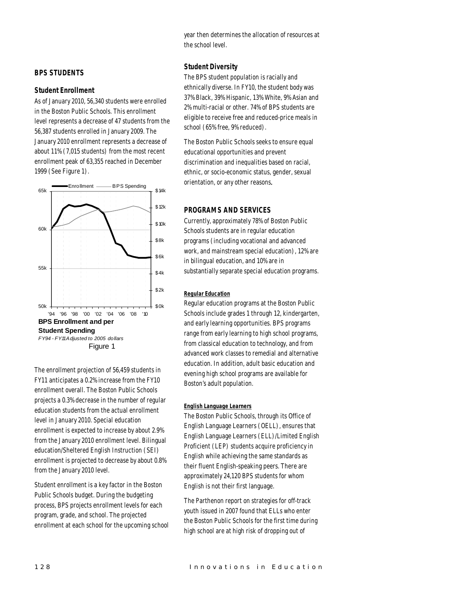year then determines the allocation of resources at the school level.

# *BPS STUDENTS*

#### *Student Enrollment*

As of January 2010, 56,340 students were enrolled in the Boston Public Schools. This enrollment level represents a decrease of 47 students from the 56,387 students enrolled in January 2009. The January 2010 enrollment represents a decrease of about 11% (7,015 students) from the most recent enrollment peak of 63,355 reached in December 1999 (See Figure 1).



The enrollment projection of 56,459 students in FY11 anticipates a 0.2% increase from the FY10 enrollment overall. The Boston Public Schools projects a 0.3% decrease in the number of regular education students from the actual enrollment level in January 2010. Special education enrollment is expected to increase by about 2.9% from the January 2010 enrollment level. Bilingual education/Sheltered English Instruction (SEI) enrollment is projected to decrease by about 0.8% from the January 2010 level.

Student enrollment is a key factor in the Boston Public Schools budget. During the budgeting process, BPS projects enrollment levels for each program, grade, and school. The projected enrollment at each school for the upcoming school

## *Student Diversity*

The BPS student population is racially and ethnically diverse. In FY10, the student body was 37% Black, 39% Hispanic, 13% White, 9% Asian and 2% multi-racial or other. 74% of BPS students are eligible to receive free and reduced-price meals in school (65% free, 9% reduced).

The Boston Public Schools seeks to ensure equal educational opportunities and prevent discrimination and inequalities based on racial, ethnic, or socio-economic status, gender, sexual orientation, or any other reasons.

## *PROGRAMS AND SERVICES*

Currently, approximately 78% of Boston Public Schools students are in regular education programs (including vocational and advanced work, and mainstream special education), 12% are in bilingual education, and 10% are in substantially separate special education programs.

#### *Regular Education*

Regular education programs at the Boston Public Schools include grades 1 through 12, kindergarten, and early learning opportunities. BPS programs range from early learning to high school programs, from classical education to technology, and from advanced work classes to remedial and alternative education. In addition, adult basic education and evening high school programs are available for Boston's adult population.

#### *English Language Learners*

The Boston Public Schools, through its Office of English Language Learners (OELL), ensures that English Language Learners (ELL)/Limited English Proficient (LEP) students acquire proficiency in English while achieving the same standards as their fluent English-speaking peers. There are approximately 24,120 BPS students for whom English is not their first language.

The Parthenon report on strategies for off-track youth issued in 2007 found that ELLs who enter the Boston Public Schools for the first time during high school are at high risk of dropping out of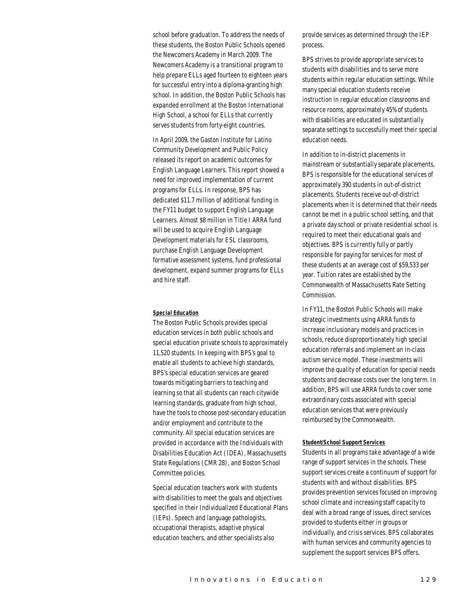school before graduation. To address the needs of these students, the Boston Public Schools opened the Newcomers Academy in March 2009. The Newcomers Academy is a transitional program to help prepare ELLs aged fourteen to eighteen years for successful entry into a diploma-granting high school. In addition, the Boston Public Schools has expanded enrollment at the Boston International High School, a school for ELLs that currently serves students from forty-eight countries.

In April 2009, the Gaston Institute for Latino Community Development and Public Policy released its report on academic outcomes for English Language Learners. This report showed a need for improved implementation of current programs for ELLs. In response, BPS has dedicated \$11.7 million of additional funding in the FY11 budget to support English Language Learners. Almost \$8 million in Title I ARRA fund will be used to acquire English Language Development materials for ESL classrooms, purchase English Language Development formative assessment systems, fund professional development, expand summer programs for ELLs and hire staff.

#### *Special Education*

The Boston Public Schools provides special education services in both public schools and special education private schools to approximately 11,520 students. In keeping with BPS's goal to enable all students to achieve high standards, BPS's special education services are geared towards mitigating barriers to teaching and learning so that all students can reach citywide learning standards, graduate from high school, have the tools to choose post-secondary education and/or employment and contribute to the community. All special education services are provided in accordance with the Individuals with Disabilities Education Act (IDEA), Massachusetts State Regulations (CMR 28), and Boston School Committee policies.

Special education teachers work with students with disabilities to meet the goals and objectives specified in their Individualized Educational Plans (IEPs). Speech and language pathologists, occupational therapists, adaptive physical education teachers, and other specialists also

provide services as determined through the IEP process.

BPS strives to provide appropriate services to students with disabilities and to serve more students within regular education settings. While many special education students receive instruction in regular education classrooms and resource rooms, approximately 45% of students with disabilities are educated in substantially separate settings to successfully meet their special education needs.

In addition to in-district placements in mainstream or substantially separate placements, BPS is responsible for the educational services of approximately 390 students in out-of-district placements. Students receive out-of-district placements when it is determined that their needs cannot be met in a public school setting, and that a private day school or private residential school is required to meet their educational goals and objectives. BPS is currently fully or partly responsible for paying for services for most of these students at an average cost of \$59,533 per year. Tuition rates are established by the Commonwealth of Massachusetts Rate Setting Commission.

In FY11, the Boston Public Schools will make strategic investments using ARRA funds to increase inclusionary models and practices in schools, reduce disproportionately high special education referrals and implement an in-class autism service model. These investments will improve the quality of education for special needs students and decrease costs over the long term. In addition, BPS will use ARRA funds to cover some extraordinary costs associated with special education services that were previously reimbursed by the Commonwealth.

#### *Student/School Support Services*

Students in all programs take advantage of a wide range of support services in the schools. These support services create a continuum of support for students with and without disabilities. BPS provides prevention services focused on improving school climate and increasing staff capacity to deal with a broad range of issues, direct services provided to students either in groups or individually, and crisis services. BPS collaborates with human services and community agencies to supplement the support services BPS offers.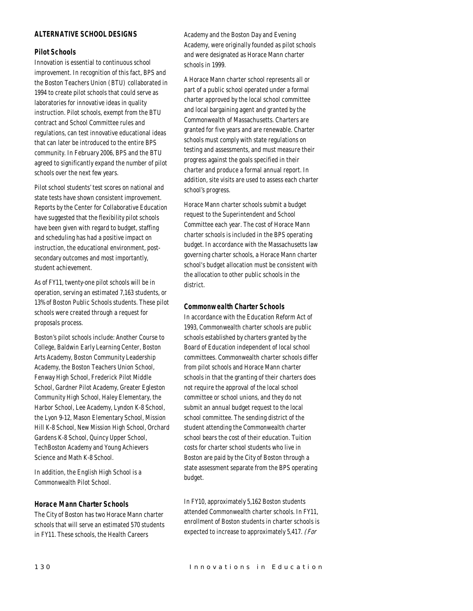# *ALTERNATIVE SCHOOL DESIGNS*

## *Pilot Schools*

Innovation is essential to continuous school improvement. In recognition of this fact, BPS and the Boston Teachers Union (BTU) collaborated in 1994 to create pilot schools that could serve as laboratories for innovative ideas in quality instruction. Pilot schools, exempt from the BTU contract and School Committee rules and regulations, can test innovative educational ideas that can later be introduced to the entire BPS community. In February 2006, BPS and the BTU agreed to significantly expand the number of pilot schools over the next few years.

Pilot school students' test scores on national and state tests have shown consistent improvement. Reports by the Center for Collaborative Education have suggested that the flexibility pilot schools have been given with regard to budget, staffing and scheduling has had a positive impact on instruction, the educational environment, postsecondary outcomes and most importantly, student achievement.

As of FY11, twenty-one pilot schools will be in operation, serving an estimated 7,163 students, or 13% of Boston Public Schools students. These pilot schools were created through a request for proposals process.

Boston's pilot schools include: Another Course to College, Baldwin Early Learning Center, Boston Arts Academy, Boston Community Leadership Academy, the Boston Teachers Union School, Fenway High School, Frederick Pilot Middle School, Gardner Pilot Academy, Greater Egleston Community High School, Haley Elementary, the Harbor School, Lee Academy, Lyndon K-8 School, the Lyon 9-12, Mason Elementary School, Mission Hill K-8 School, New Mission High School, Orchard Gardens K-8 School, Quincy Upper School, TechBoston Academy and Young Achievers Science and Math K-8 School.

In addition, the English High School is a Commonwealth Pilot School.

### *Horace Mann Charter Schools*

The City of Boston has two Horace Mann charter schools that will serve an estimated 570 students in FY11. These schools, the Health Careers

Academy and the Boston Day and Evening Academy, were originally founded as pilot schools and were designated as Horace Mann charter schools in 1999.

A Horace Mann charter school represents all or part of a public school operated under a formal charter approved by the local school committee and local bargaining agent and granted by the Commonwealth of Massachusetts. Charters are granted for five years and are renewable. Charter schools must comply with state regulations on testing and assessments, and must measure their progress against the goals specified in their charter and produce a formal annual report. In addition, site visits are used to assess each charter school's progress.

Horace Mann charter schools submit a budget request to the Superintendent and School Committee each year. The cost of Horace Mann charter schools is included in the BPS operating budget. In accordance with the Massachusetts law governing charter schools, a Horace Mann charter school's budget allocation must be consistent with the allocation to other public schools in the district.

## *Commonwealth Charter Schools*

In accordance with the Education Reform Act of 1993, Commonwealth charter schools are public schools established by charters granted by the Board of Education independent of local school committees. Commonwealth charter schools differ from pilot schools and Horace Mann charter schools in that the granting of their charters does not require the approval of the local school committee or school unions, and they do not submit an annual budget request to the local school committee. The sending district of the student attending the Commonwealth charter school bears the cost of their education. Tuition costs for charter school students who live in Boston are paid by the City of Boston through a state assessment separate from the BPS operating budget.

In FY10, approximately 5,162 Boston students attended Commonwealth charter schools. In FY11, enrollment of Boston students in charter schools is expected to increase to approximately 5,417. (For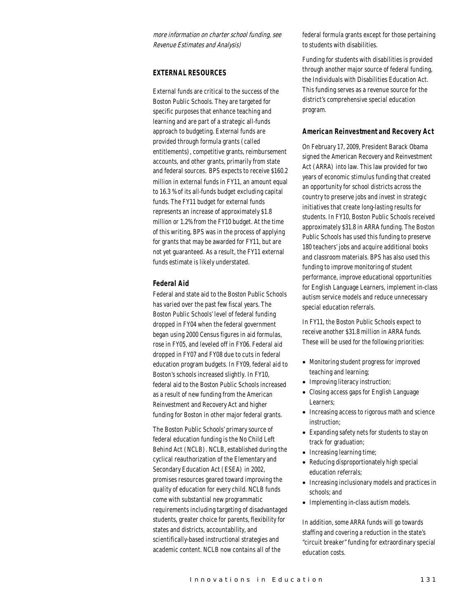more information on charter school funding, see Revenue Estimates and Analysis)

## *EXTERNAL RESOURCES*

External funds are critical to the success of the Boston Public Schools. They are targeted for specific purposes that enhance teaching and learning and are part of a strategic all-funds approach to budgeting. External funds are provided through formula grants (called entitlements), competitive grants, reimbursement accounts, and other grants, primarily from state and federal sources. BPS expects to receive \$160.2 million in external funds in FY11, an amount equal to 16.3 % of its all-funds budget excluding capital funds. The FY11 budget for external funds represents an increase of approximately \$1.8 million or 1.2% from the FY10 budget. At the time of this writing, BPS was in the process of applying for grants that may be awarded for FY11, but are not yet guaranteed. As a result, the FY11 external funds estimate is likely understated.

## *Federal Aid*

Federal and state aid to the Boston Public Schools has varied over the past few fiscal years. The Boston Public Schools' level of federal funding dropped in FY04 when the federal government began using 2000 Census figures in aid formulas, rose in FY05, and leveled off in FY06. Federal aid dropped in FY07 and FY08 due to cuts in federal education program budgets. In FY09, federal aid to Boston's schools increased slightly. In FY10, federal aid to the Boston Public Schools increased as a result of new funding from the American Reinvestment and Recovery Act and higher funding for Boston in other major federal grants.

The Boston Public Schools' primary source of federal education funding is the No Child Left Behind Act (NCLB). NCLB, established during the cyclical reauthorization of the Elementary and Secondary Education Act (ESEA) in 2002, promises resources geared toward improving the quality of education for every child. NCLB funds come with substantial new programmatic requirements including targeting of disadvantaged students, greater choice for parents, flexibility for states and districts, accountability, and scientifically-based instructional strategies and academic content. NCLB now contains all of the

federal formula grants except for those pertaining to students with disabilities.

Funding for students with disabilities is provided through another major source of federal funding, the Individuals with Disabilities Education Act. This funding serves as a revenue source for the district's comprehensive special education program.

#### *American Reinvestment and Recovery Act*

On February 17, 2009, President Barack Obama signed the American Recovery and Reinvestment Act (ARRA) into law. This law provided for two years of economic stimulus funding that created an opportunity for school districts across the country to preserve jobs and invest in strategic initiatives that create long-lasting results for students. In FY10, Boston Public Schools received approximately \$31.8 in ARRA funding. The Boston Public Schools has used this funding to preserve 180 teachers' jobs and acquire additional books and classroom materials. BPS has also used this funding to improve monitoring of student performance, improve educational opportunities for English Language Learners, implement in-class autism service models and reduce unnecessary special education referrals.

In FY11, the Boston Public Schools expect to receive another \$31.8 million in ARRA funds. These will be used for the following priorities:

- Monitoring student progress for improved teaching and learning;
- Improving literacy instruction;
- Closing access gaps for English Language Learners;
- Increasing access to rigorous math and science instruction;
- Expanding safety nets for students to stay on track for graduation;
- Increasing learning time;
- Reducing disproportionately high special education referrals;
- Increasing inclusionary models and practices in schools; and
- Implementing in-class autism models.

In addition, some ARRA funds will go towards staffing and covering a reduction in the state's "circuit breaker" funding for extraordinary special education costs.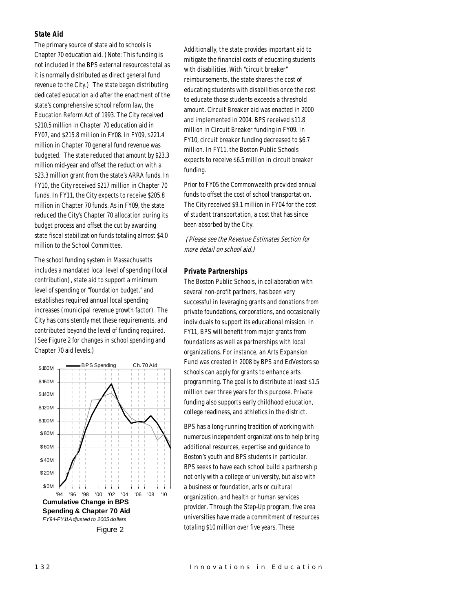#### *State Aid*

The primary source of state aid to schools is Chapter 70 education aid. (Note: This funding is not included in the BPS external resources total as it is normally distributed as direct general fund revenue to the City.) The state began distributing dedicated education aid after the enactment of the state's comprehensive school reform law, the Education Reform Act of 1993. The City received \$210.5 million in Chapter 70 education aid in FY07, and \$215.8 million in FY08. In FY09, \$221.4 million in Chapter 70 general fund revenue was budgeted. The state reduced that amount by \$23.3 million mid-year and offset the reduction with a \$23.3 million grant from the state's ARRA funds. In FY10, the City received \$217 million in Chapter 70 funds. In FY11, the City expects to receive \$205.8 million in Chapter 70 funds. As in FY09, the state reduced the City's Chapter 70 allocation during its budget process and offset the cut by awarding state fiscal stabilization funds totaling almost \$4.0 million to the School Committee.

The school funding system in Massachusetts includes a mandated local level of spending (local contribution), state aid to support a minimum level of spending or "foundation budget," and establishes required annual local spending increases (municipal revenue growth factor). The City has consistently met these requirements, and contributed beyond the level of funding required. (See Figure 2 for changes in school spending and Chapter 70 aid levels.)



Additionally, the state provides important aid to mitigate the financial costs of educating students with disabilities. With "circuit breaker" reimbursements, the state shares the cost of educating students with disabilities once the cost to educate those students exceeds a threshold amount. Circuit Breaker aid was enacted in 2000 and implemented in 2004. BPS received \$11.8 million in Circuit Breaker funding in FY09. In FY10, circuit breaker funding decreased to \$6.7 million. In FY11, the Boston Public Schools expects to receive \$6.5 million in circuit breaker funding.

Prior to FY05 the Commonwealth provided annual funds to offset the cost of school transportation. The City received \$9.1 million in FY04 for the cost of student transportation, a cost that has since been absorbed by the City.

(Please see the Revenue Estimates Section for more detail on school aid.)

## *Private Partnerships*

The Boston Public Schools, in collaboration with several non-profit partners, has been very successful in leveraging grants and donations from private foundations, corporations, and occasionally individuals to support its educational mission. In FY11, BPS will benefit from major grants from foundations as well as partnerships with local organizations. For instance, an Arts Expansion Fund was created in 2008 by BPS and EdVestors so schools can apply for grants to enhance arts programming. The goal is to distribute at least \$1.5 million over three years for this purpose. Private funding also supports early childhood education, college readiness, and athletics in the district.

BPS has a long-running tradition of working with numerous independent organizations to help bring additional resources, expertise and guidance to Boston's youth and BPS students in particular. BPS seeks to have each school build a partnership not only with a college or university, but also with a business or foundation, arts or cultural organization, and health or human services provider. Through the Step-Up program, five area universities have made a commitment of resources totaling \$10 million over five years. These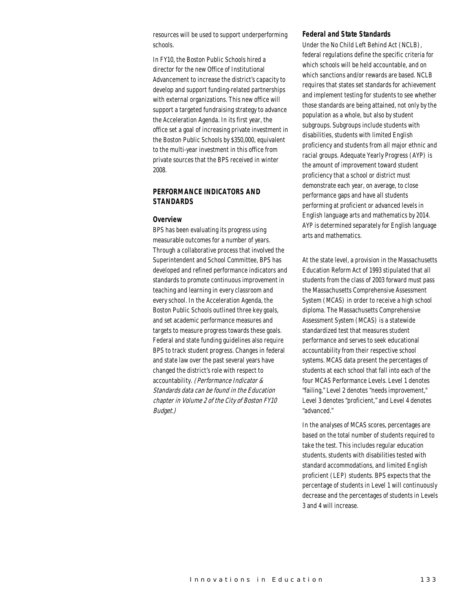resources will be used to support underperforming schools.

In FY10, the Boston Public Schools hired a director for the new Office of Institutional Advancement to increase the district's capacity to develop and support funding-related partnerships with external organizations. This new office will support a targeted fundraising strategy to advance the Acceleration Agenda. In its first year, the office set a goal of increasing private investment in the Boston Public Schools by \$350,000, equivalent to the multi-year investment in this office from private sources that the BPS received in winter 2008.

# *PERFORMANCE INDICATORS AND STANDARDS*

#### *Overview*

BPS has been evaluating its progress using measurable outcomes for a number of years. Through a collaborative process that involved the Superintendent and School Committee, BPS has developed and refined performance indicators and standards to promote continuous improvement in teaching and learning in every classroom and every school. In the Acceleration Agenda, the Boston Public Schools outlined three key goals, and set academic performance measures and targets to measure progress towards these goals. Federal and state funding guidelines also require BPS to track student progress. Changes in federal and state law over the past several years have changed the district's role with respect to accountability. (Performance Indicator & Standards data can be found in the Education chapter in Volume 2 of the City of Boston FY10 Budget.)

#### *Federal and State Standards*

Under the No Child Left Behind Act (NCLB), federal regulations define the specific criteria for which schools will be held accountable, and on which sanctions and/or rewards are based. NCLB requires that states set standards for achievement and implement testing for students to see whether those standards are being attained, not only by the population as a whole, but also by student subgroups. Subgroups include students with disabilities, students with limited English proficiency and students from all major ethnic and racial groups. Adequate Yearly Progress (AYP) is the amount of improvement toward student proficiency that a school or district must demonstrate each year, on average, to close performance gaps and have all students performing at proficient or advanced levels in English language arts and mathematics by 2014. AYP is determined separately for English language arts and mathematics.

At the state level, a provision in the Massachusetts Education Reform Act of 1993 stipulated that all students from the class of 2003 forward must pass the Massachusetts Comprehensive Assessment System (MCAS) in order to receive a high school diploma. The Massachusetts Comprehensive Assessment System (MCAS) is a statewide standardized test that measures student performance and serves to seek educational accountability from their respective school systems. MCAS data present the percentages of students at each school that fall into each of the four MCAS Performance Levels. Level 1 denotes "failing," Level 2 denotes "needs improvement," Level 3 denotes "proficient," and Level 4 denotes "advanced."

In the analyses of MCAS scores, percentages are based on the total number of students required to take the test. This includes regular education students, students with disabilities tested with standard accommodations, and limited English proficient (LEP) students. BPS expects that the percentage of students in Level 1 will continuously decrease and the percentages of students in Levels 3 and 4 will increase.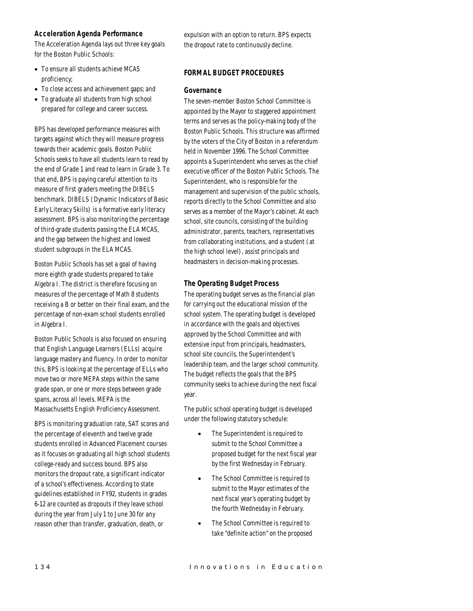# *Acceleration Agenda Performance*

The Acceleration Agenda lays out three key goals for the Boston Public Schools:

- To ensure all students achieve MCAS proficiency;
- To close access and achievement gaps; and
- To graduate all students from high school prepared for college and career success.

BPS has developed performance measures with targets against which they will measure progress towards their academic goals. Boston Public Schools seeks to have all students learn to read by the end of Grade 1 and read to learn in Grade 3. To that end, BPS is paying careful attention to its measure of first graders meeting the DIBELS benchmark. DIBELS (Dynamic Indicators of Basic Early Literacy Skills) is a formative early literacy assessment. BPS is also monitoring the percentage of third-grade students passing the ELA MCAS, and the gap between the highest and lowest student subgroups in the ELA MCAS.

Boston Public Schools has set a goal of having more eighth grade students prepared to take Algebra I. The district is therefore focusing on measures of the percentage of Math 8 students receiving a B or better on their final exam, and the percentage of non-exam school students enrolled in Algebra I.

Boston Public Schools is also focused on ensuring that English Language Learners (ELLs) acquire language mastery and fluency. In order to monitor this, BPS is looking at the percentage of ELLs who move two or more MEPA steps within the same grade span, or one or more steps between grade spans, across all levels. MEPA is the Massachusetts English Proficiency Assessment.

BPS is monitoring graduation rate, SAT scores and the percentage of eleventh and twelve grade students enrolled in Advanced Placement courses as it focuses on graduating all high school students college-ready and success bound. BPS also monitors the dropout rate, a significant indicator of a school's effectiveness. According to state guidelines established in FY92, students in grades 6-12 are counted as dropouts if they leave school during the year from July 1 to June 30 for any reason other than transfer, graduation, death, or

expulsion with an option to return. BPS expects the dropout rate to continuously decline.

# *FORMAL BUDGET PROCEDURES*

## *Governance*

The seven-member Boston School Committee is appointed by the Mayor to staggered appointment terms and serves as the policy-making body of the Boston Public Schools. This structure was affirmed by the voters of the City of Boston in a referendum held in November 1996. The School Committee appoints a Superintendent who serves as the chief executive officer of the Boston Public Schools. The Superintendent, who is responsible for the management and supervision of the public schools, reports directly to the School Committee and also serves as a member of the Mayor's cabinet. At each school, site councils, consisting of the building administrator, parents, teachers, representatives from collaborating institutions, and a student (at the high school level), assist principals and headmasters in decision-making processes.

# *The Operating Budget Process*

The operating budget serves as the financial plan for carrying out the educational mission of the school system. The operating budget is developed in accordance with the goals and objectives approved by the School Committee and with extensive input from principals, headmasters, school site councils, the Superintendent's leadership team, and the larger school community. The budget reflects the goals that the BPS community seeks to achieve during the next fiscal year.

The public school operating budget is developed under the following statutory schedule:

- The Superintendent is required to submit to the School Committee a proposed budget for the next fiscal year by the first Wednesday in February.
- The School Committee is required to submit to the Mayor estimates of the next fiscal year's operating budget by the fourth Wednesday in February.
- The School Committee is required to take "definite action" on the proposed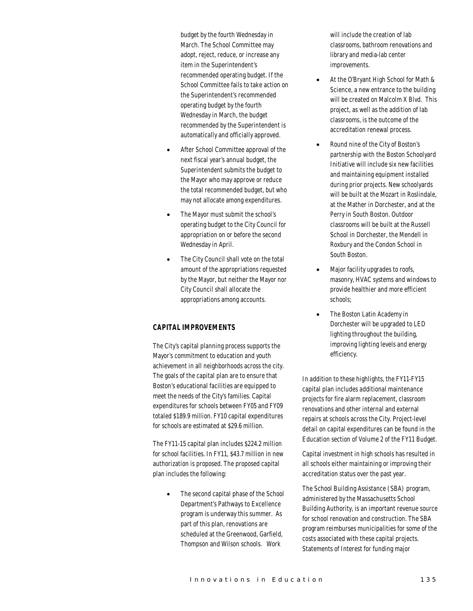budget by the fourth Wednesday in March. The School Committee may adopt, reject, reduce, or increase any item in the Superintendent's recommended operating budget. If the School Committee fails to take action on the Superintendent's recommended operating budget by the fourth Wednesday in March, the budget recommended by the Superintendent is automatically and officially approved.

- After School Committee approval of the next fiscal year's annual budget, the Superintendent submits the budget to the Mayor who may approve or reduce the total recommended budget, but who may not allocate among expenditures.
- The Mayor must submit the school's operating budget to the City Council for appropriation on or before the second Wednesday in April.
- The City Council shall vote on the total amount of the appropriations requested by the Mayor, but neither the Mayor nor City Council shall allocate the appropriations among accounts.

# *CAPITAL IMPROVEMENTS*

The City's capital planning process supports the Mayor's commitment to education and youth achievement in all neighborhoods across the city. The goals of the capital plan are to ensure that Boston's educational facilities are equipped to meet the needs of the City's families. Capital expenditures for schools between FY05 and FY09 totaled \$189.9 million. FY10 capital expenditures for schools are estimated at \$29.6 million.

The FY11-15 capital plan includes \$224.2 million for school facilities. In FY11, \$43.7 million in new authorization is proposed. The proposed capital plan includes the following:

> • The second capital phase of the School Department's Pathways to Excellence program is underway this summer. As part of this plan, renovations are scheduled at the Greenwood, Garfield, Thompson and Wilson schools. Work

will include the creation of lab classrooms, bathroom renovations and library and media-lab center improvements.

- At the O'Bryant High School for Math & Science, a new entrance to the building will be created on Malcolm X Blvd. This project, as well as the addition of lab classrooms, is the outcome of the accreditation renewal process.
- Round nine of the City of Boston's partnership with the Boston Schoolyard Initiative will include six new facilities and maintaining equipment installed during prior projects. New schoolyards will be built at the Mozart in Roslindale, at the Mather in Dorchester, and at the Perry in South Boston. Outdoor classrooms will be built at the Russell School in Dorchester, the Mendell in Roxbury and the Condon School in South Boston.
- Major facility upgrades to roofs, masonry, HVAC systems and windows to provide healthier and more efficient schools;
- The Boston Latin Academy in Dorchester will be upgraded to LED lighting throughout the building, improving lighting levels and energy efficiency.

In addition to these highlights, the FY11-FY15 capital plan includes additional maintenance projects for fire alarm replacement, classroom renovations and other internal and external repairs at schools across the City. Project-level detail on capital expenditures can be found in the Education section of Volume 2 of the FY11 Budget.

Capital investment in high schools has resulted in all schools either maintaining or improving their accreditation status over the past year.

The School Building Assistance (SBA) program, administered by the Massachusetts School Building Authority, is an important revenue source for school renovation and construction. The SBA program reimburses municipalities for some of the costs associated with these capital projects. Statements of Interest for funding major